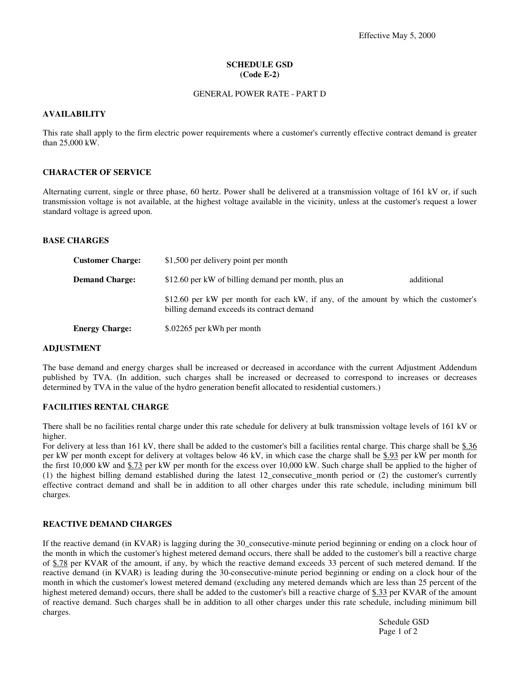# **SCHEDULE GSD (Code E-2)**

## GENERAL POWER RATE - PART D

## **AVAILABILITY**

This rate shall apply to the firm electric power requirements where a customer's currently effective contract demand is greater than 25,000 kW.

### **CHARACTER OF SERVICE**

Alternating current, single or three phase, 60 hertz. Power shall be delivered at a transmission voltage of 161 kV or, if such transmission voltage is not available, at the highest voltage available in the vicinity, unless at the customer's request a lower standard voltage is agreed upon.

## **BASE CHARGES**

| <b>Customer Charge:</b> | \$1,500 per delivery point per month                                                                                              |            |
|-------------------------|-----------------------------------------------------------------------------------------------------------------------------------|------------|
| <b>Demand Charge:</b>   | \$12.60 per kW of billing demand per month, plus an                                                                               | additional |
|                         | \$12.60 per kW per month for each kW, if any, of the amount by which the customer's<br>billing demand exceeds its contract demand |            |
| <b>Energy Charge:</b>   | \$.02265 per kWh per month                                                                                                        |            |

# **ADJUSTMENT**

The base demand and energy charges shall be increased or decreased in accordance with the current Adjustment Addendum published by TVA. (In addition, such charges shall be increased or decreased to correspond to increases or decreases determined by TVA in the value of the hydro generation benefit allocated to residential customers.)

# **FACILITIES RENTAL CHARGE**

There shall be no facilities rental charge under this rate schedule for delivery at bulk transmission voltage levels of 161 kV or higher.

For delivery at less than 161 kV, there shall be added to the customer's bill a facilities rental charge. This charge shall be \$.36 per kW per month except for delivery at voltages below 46 kV, in which case the charge shall be \$.93 per kW per month for the first 10,000 kW and \$.73 per kW per month for the excess over 10,000 kW. Such charge shall be applied to the higher of (1) the highest billing demand established during the latest 12 consecutive month period or (2) the customer's currently effective contract demand and shall be in addition to all other charges under this rate schedule, including minimum bill charges.

## **REACTIVE DEMAND CHARGES**

If the reactive demand (in KVAR) is lagging during the 30\_consecutive-minute period beginning or ending on a clock hour of the month in which the customer's highest metered demand occurs, there shall be added to the customer's bill a reactive charge of \$.78 per KVAR of the amount, if any, by which the reactive demand exceeds 33 percent of such metered demand. If the reactive demand (in KVAR) is leading during the 30-consecutive-minute period beginning or ending on a clock hour of the month in which the customer's lowest metered demand (excluding any metered demands which are less than 25 percent of the highest metered demand) occurs, there shall be added to the customer's bill a reactive charge of \$.33 per KVAR of the amount of reactive demand. Such charges shall be in addition to all other charges under this rate schedule, including minimum bill charges.

> Schedule GSD Page 1 of 2